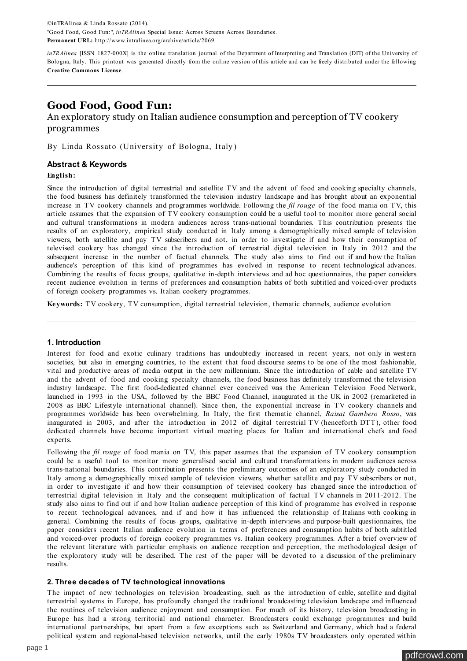©inTRAlinea & Linda Rossato (2014). "Good Food, Good Fun:", *inTRAlinea* Special Issue: Across Screens Across Boundaries. **Permanent URL:** http://www.intralinea.org/archive/article/2069

*inTRAlinea* [ISSN 1827-000X] is the online translation journal of the Department of Interpreting and Translation (DIT) of the University of Bologna, Italy. This printout was generated directly from the online version of this article and can be freely distributed under the following **[Creative Commons License](http://creativecommons.org/licenses/by-nc-nd/4.0/)**.

# **Good Food, Good Fun:**

# An exploratory study on Italian audience consumption and perception of TV cookery programmes

By Linda Rossato (University of Bologna, Italy)

# **Abstract & Keywords**

# **English:**

Since the introduction of digital terrestrial and satellite TV and the advent of food and cooking specialty channels, the food business has definitely transformed the television industry landscape and has brought about an exponential increase in TV cookery channels and programmes worldwide. Following the *fil rouge* of the food mania on TV, this article assumes that the expansion of TV cookery consumption could be a useful tool to monitor more general social and cultural transformations in modern audiences across trans-national boundaries. This contribution presents the results of an exploratory, empirical study conducted in Italy among a demographically mixed sample of television viewers, both satellite and pay TV subscribers and not, in order to investigate if and how their consumption of televised cookery has changed since the introduction of terrestrial digital television in Italy in 2012 and the subsequent increase in the number of factual channels. The study also aims to find out if and how the Italian audience's perception of this kind of programmes has evolved in response to recent technological advances. Combining the results of focus groups, qualitative in-depth interviews and ad hoc questionnaires, the paper considers recent audience evolution in terms of preferences and consumption habits of both subtitled and voiced-over products of foreign cookery programmes vs. Italian cookery programmes.

**Keywords:** TV cookery, TV consumption, digital terrestrial television, thematic channels, audience evolution

# **1. Introduction**

Interest for food and exotic culinary traditions has undoubtedly increased in recent years, not only in western societies, but also in emerging countries, to the extent that food discourse seems to be one of the most fashionable, vital and productive areas of media output in the new millennium. Since the introduction of cable and satellite TV and the advent of food and cooking specialty channels, the food business has definitely transformed the television industry landscape. The first food-dedicated channel ever conceived was the American Television Food Network, launched in 1993 in the USA, followed by the BBC Food Channel, inaugurated in the UK in 2002 (remarketed in 2008 as BBC Lifestyle international channel). Since then, the exponential increase in TV cookery channels and programmes worldwide has been overwhelming. In Italy, the first thematic channel, *Raisat Gambero Rosso*, was inaugurated in 2003, and after the introduction in 2012 of digital terrestrial TV (henceforth DTT), other food dedicated channels have become important virtual meeting places for Italian and international chefs and food experts.

Following the *fil rouge* of food mania on TV, this paper assumes that the expansion of TV cookery consumption could be a useful tool to monitor more generalised social and cultural transformations in modern audiences across trans-national boundaries. This contribution presents the preliminary outcomes of an exploratory study conducted in Italy among a demographically mixed sample of television viewers, whether satellite and pay TV subscribers or not, in order to investigate if and how their consumption of televised cookery has changed since the introduction of terrestrial digital television in Italy and the consequent multiplication of factual TV channels in 2011-2012. The study also aims to find out if and how Italian audience perception of this kind of programme has evolved in response to recent technological advances, and if and how it has influenced the relationship of Italians with cooking in general. Combining the results of focus groups, qualitative in-depth interviews and purpose-built questionnaires, the paper considers recent Italian audience evolution in terms of preferences and consumption habits of both subtitled and voiced-over products of foreign cookery programmes vs. Italian cookery programmes. After a brief overview of the relevant literature with particular emphasis on audience reception and perception, the methodological design of the exploratory study will be described. The rest of the paper will be devoted to a discussion of the preliminary results.

# **2. Three decades of TV technological innovations**

The impact of new technologies on television broadcasting, such as the introduction of cable, satellite and digital terrestrial systems in Europe, has profoundly changed the traditional broadcasting television landscape and influenced the routines of television audience enjoyment and consumption. For much of its history, television broadcasting in Europe has had a strong territorial and national character. Broadcasters could exchange programmes and build international partnerships, but apart from a few exceptions such as Switzerland and Germany, which had a federal political system and regional-based television networks, until the early 1980s TV broadcasters only operated within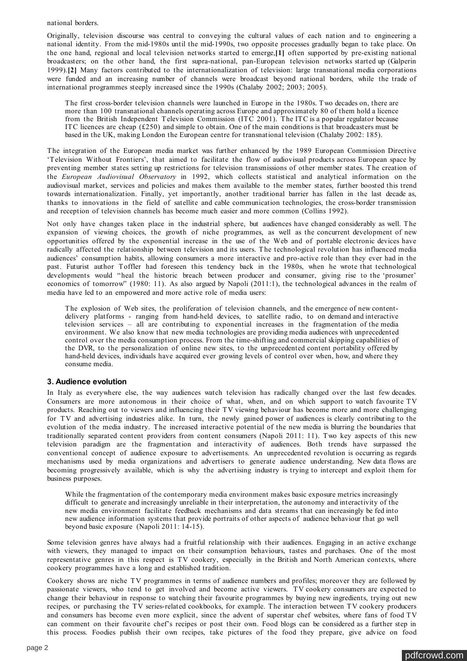<span id="page-1-0"></span>national borders.

Originally, television discourse was central to conveying the cultural values of each nation and to engineering a national identity. From the mid-1980s until the mid-1990s, two opposite processes gradually began to take place. On the one hand, regional and local television networks started to emerge,**[\[1\]](#page-8-0)** often supported by pre-existing national broadcasters; on the other hand, the first supra-national, pan-European television networks started up (Galperin 1999).**[\[2\]](#page-8-0)** Many factors contributed to the internationalization of television: large transnational media corporations were funded and an increasing number of channels were broadcast beyond national borders, while the trade of international programmes steeply increased since the 1990s (Chalaby 2002; 2003; 2005).

The first cross-border television channels were launched in Europe in the 1980s. Two decades on, there are more than 100 transnational channels operating across Europe and approximately 80 of them hold a licence from the British Independent Television Commission (ITC 2001). The ITC is a popular regulator because ITC licences are cheap (£250) and simple to obtain. One of the main conditions is that broadcasters must be based in the UK, making London the European centre for transnational television (Chalaby 2002: 185).

The integration of the European media market was further enhanced by the 1989 European Commission Directive 'Television Without Frontiers', that aimed to facilitate the flow of audiovisual products across European space by preventing member states setting up restrictions for television transmissions of other member states. The creation of the *European Audiovisual Observatory* in 1992, which collects statistical and analytical information on the audiovisual market, services and policies and makes them available to the member states, further boosted this trend towards internationalization. Finally, yet importantly, another traditional barrier has fallen in the last decade as, thanks to innovations in the field of satellite and cable communication technologies, the cross-border transmission and reception of television channels has become much easier and more common (Collins 1992).

Not only have changes taken place in the industrial sphere, but audiences have changed considerably as well. The expansion of viewing choices, the growth of niche programmes, as well as the concurrent development of new opportunities offered by the exponential increase in the use of the Web and of portable electronic devices have radically affected the relationship between television and its users. The technological revolution has influenced media audiences' consumption habits, allowing consumers a more interactive and pro-active role than they ever had in the past. Futurist author Toffler had foreseen this tendency back in the 1980s, when he wrote that technological developments would "heal the historic breach between producer and consumer, giving rise to the 'prosumer' economics of tomorrow" (1980: 11). As also argued by Napoli (2011:1), the technological advances in the realm of media have led to an empowered and more active role of media users:

The explosion of Web sites, the proliferation of television channels, and the emergence of new contentdelivery platforms - ranging from hand-held devices, to satellite radio, to on demand and interactive television services – all are contributing to exponential increases in the fragmentation of the media environment. We also know that new media technologies are providing media audiences with unprecedented control over the media consumption process. From the time-shifting and commercial skipping capabilities of the DVR, to the personalization of online new sites, to the unprecedented content portability offered by hand-held devices, individuals have acquired ever growing levels of control over when, how, and where they consume media.

### **3. Audience evolution**

In Italy as everywhere else, the way audiences watch television has radically changed over the last few decades. Consumers are more autonomous in their choice of what, when, and on which support to watch favourite TV products. Reaching out to viewers and influencing their TV viewing behaviour has become more and more challenging for TV and advertising industries alike. In turn, the newly gained power of audiences is clearly contributing to the evolution of the media industry. The increased interactive potential of the new media is blurring the boundaries that traditionally separated content providers from content consumers (Napoli 2011: 11). Two key aspects of this new television paradigm are the fragmentation and interactivity of audiences. Both trends have surpassed the conventional concept of audience exposure to advertisements. An unprecedented revolution is occurring as regards mechanisms used by media organizations and advertisers to generate audience understanding. New data flows are becoming progressively available, which is why the advertising industry is trying to intercept and exploit them for business purposes.

While the fragmentation of the contemporary media environment makes basic exposure metrics increasingly difficult to generate and increasingly unreliable in their interpretation, the autonomy and interactivity of the new media environment facilitate feedback mechanisms and data streams that can increasingly be fed into new audience information systems that provide portraits of other aspects of audience behaviour that go well beyond basic exposure (Napoli 2011: 14-15).

Some television genres have always had a fruitful relationship with their audiences. Engaging in an active exchange with viewers, they managed to impact on their consumption behaviours, tastes and purchases. One of the most representative genres in this respect is TV cookery, especially in the British and North American contexts, where cookery programmes have a long and established tradition.

Cookery shows are niche TV programmes in terms of audience numbers and profiles; moreover they are followed by passionate viewers, who tend to get involved and become active viewers. TV cookery consumers are expected to change their behaviour in response to watching their favourite programmes by buying new ingredients, trying out new recipes, or purchasing the TV series-related cookbooks, for example. The interaction between TV cookery producers and consumers has become even more explicit, since the advent of superstar chef websites, where fans of food TV can comment on their favourite chef's recipes or post their own. Food blogs can be considered as a further step in this process. Foodies publish their own recipes, take pictures of the food they prepare, give advice on food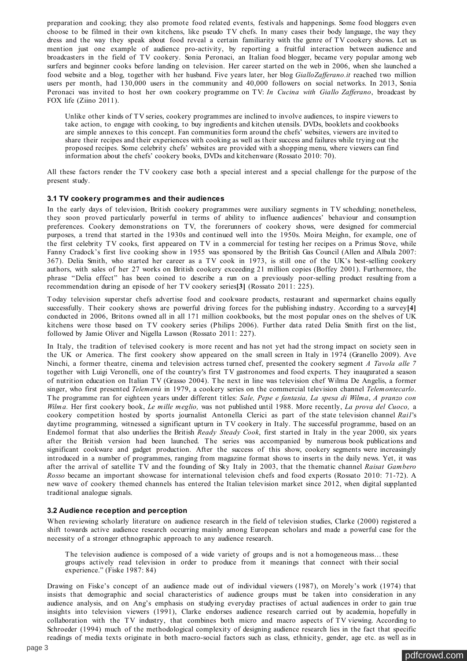<span id="page-2-0"></span>preparation and cooking; they also promote food related events, festivals and happenings. Some food bloggers even choose to be filmed in their own kitchens, like pseudo TV chefs. In many cases their body language, the way they dress and the way they speak about food reveal a certain familiarity with the genre of TV cookery shows. Let us mention just one example of audience pro-activity, by reporting a fruitful interaction between audience and broadcasters in the field of TV cookery. Sonia Peronaci, an Italian food blogger, became very popular among web surfers and beginner cooks before landing on television. Her career started on the web in 2006, when she launched a food website and a blog, together with her husband. Five years later, her blog *GialloZafferano.it* reached two million users per month, had 130,000 users in the community and 40,000 followers on social networks. In 2013, Sonia Peronaci was invited to host her own cookery programme on TV: *In Cucina with Giallo Zafferano*, broadcast by FOX life (Ziino 2011).

Unlike other kinds of TV series, cookery programmes are inclined to involve audiences, to inspire viewers to take action, to engage with cooking, to buy ingredients and kitchen utensils. DVDs, booklets and cookbooks are simple annexes to this concept. Fan communities form around the chefs' websites, viewers are invited to share their recipes and their experiences with cooking as well as their success and failures while trying out the proposed recipes. Some celebrity chefs' websites are provided with a shopping menu, where viewers can find information about the chefs' cookery books, DVDs and kitchenware (Rossato 2010: 70).

All these factors render the TV cookery case both a special interest and a special challenge for the purpose of the present study.

#### **3.1 TV cookery programmes and their audiences**

In the early days of television, British cookery programmes were auxiliary segments in TV scheduling; nonetheless, they soon proved particularly powerful in terms of ability to influence audiences' behaviour and consumption preferences. Cookery demonstrations on TV, the forerunners of cookery shows, were designed for commercial purposes, a trend that started in the 1930s and continued well into the 1950s. Moira Meighn, for example, one of the first celebrity TV cooks, first appeared on TV in a commercial for testing her recipes on a Primus Stove, while Fanny Cradock's first live cooking show in 1955 was sponsored by the British Gas Council (Allen and Albala 2007: 367). Delia Smith, who started her career as a TV cook in 1973, is still one of the UK's best-selling cookery authors, with sales of her 27 works on British cookery exceeding 21 million copies (Boffey 2001). Furthermore, the phrase "Delia effect" has been coined to describe a run on a previously poor-selling product resulting from a recommendation during an episode of her TV cookery series**[\[3\]](#page-8-0)** (Rossato 2011: 225).

Today television superstar chefs advertise food and cookware products, restaurant and supermarket chains equally successfully. Their cookery shows are powerful driving forces for the publishing industry. According to a survey**[\[4\]](#page-8-0)** conducted in 2006, Britons owned all in all 171 million cookbooks, but the most popular ones on the shelves of UK kitchens were those based on TV cookery series (Philips 2006). Further data rated Delia Smith first on the list, followed by Jamie Oliver and Nigella Lawson (Rossato 2011: 227).

In Italy, the tradition of televised cookery is more recent and has not yet had the strong impact on society seen in the UK or America. The first cookery show appeared on the small screen in Italy in 1974 (Granello 2009). Ave Ninchi, a former theatre, cinema and television actress turned chef, presented the cookery segment *A Tavola alle 7* together with Luigi Veronelli, one of the country's first TV gastronomes and food experts. They inaugurated a season of nutrition education on Italian TV (Grasso 2004). The next in line was television chef Wilma De Angelis, a former singer, who first presented *Telemenù* in 1979, a cookery series on the commercial television channel *Telemontecarlo*. The programme ran for eighteen years under different titles: *Sale, Pepe e fantasia, La spesa di Wilma*, *A pranzo con Wilma.* Her first cookery book, *Le mille meglio,* was not published until 1988. More recently, *La prova del Cuoco,* a cookery competition hosted by sports journalist Antonella Clerici as part of the state television channel *Rai1*'s daytime programming, witnessed a significant upturn in TV cookery in Italy. The successful programme, based on an Endemol format that also underlies the British *Ready Steady Cook*, first started in Italy in the year 2000, six years after the British version had been launched. The series was accompanied by numerous book publications and significant cookware and gadget production. After the success of this show, cookery segments were increasingly introduced in a number of programmes, ranging from magazine format shows to inserts in the daily news. Yet, it was after the arrival of satellite TV and the founding of Sky Italy in 2003, that the thematic channel *Raisat Gambero Rosso* became an important showcase for international television chefs and food experts (Rossato 2010: 71-72). A new wave of cookery themed channels has entered the Italian television market since 2012, when digital supplanted traditional analogue signals.

# **3.2 Audience reception and perception**

When reviewing scholarly literature on audience research in the field of television studies, Clarke (2000) registered a shift towards active audience research occurring mainly among European scholars and made a powerful case for the necessity of a stronger ethnographic approach to any audience research.

The television audience is composed of a wide variety of groups and is not a homogeneous mass… these groups actively read television in order to produce from it meanings that connect with their social experience." (Fiske 1987: 84)

Drawing on Fiske's concept of an audience made out of individual viewers (1987), on Morely's work (1974) that insists that demographic and social characteristics of audience groups must be taken into consideration in any audience analysis, and on Ang's emphasis on studying everyday practises of actual audiences in order to gain true insights into television viewers (1991), Clarke endorses audience research carried out by academia, hopefully in collaboration with the TV industry, that combines both micro and macro aspects of TV viewing. According to Schroeder (1994) much of the methodological complexity of designing audience research lies in the fact that specific readings of media texts originate in both macro-social factors such as class, ethnicity, gender, age etc. as well as in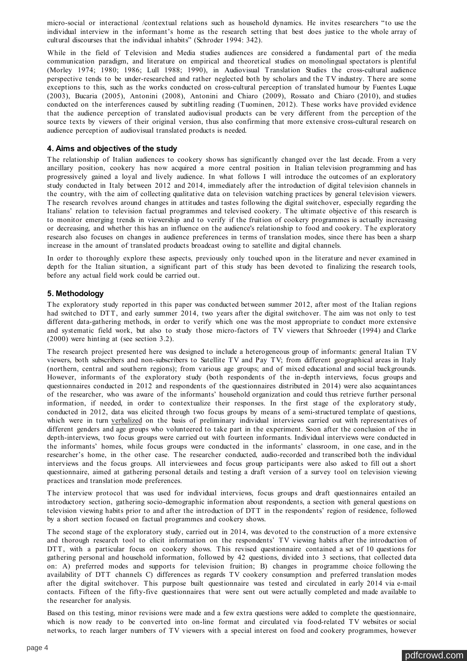micro-social or interactional /contextual relations such as household dynamics. He invites researchers "to use the individual interview in the informant's home as the research setting that best does justice to the whole array of cultural discourses that the individual inhabits" (Schroder 1994: 342).

While in the field of Television and Media studies audiences are considered a fundamental part of the media communication paradigm, and literature on empirical and theoretical studies on monolingual spectators is plentiful (Morley 1974; 1980; 1986; Lull 1988; 1990), in Audiovisual Translation Studies the cross-cultural audience perspective tends to be under-researched and rather neglected both by scholars and the TV industry. There are some exceptions to this, such as the works conducted on cross-cultural perception of translated humour by Fuentes Luque (2003), Bucaria (2005), Antonini (2008), Antonini and Chiaro (2009), Rossato and Chiaro (2010), and studies conducted on the interferences caused by subtitling reading (Tuominen, 2012). These works have provided evidence that the audience perception of translated audiovisual products can be very different from the perception of the source texts by viewers of their original version, thus also confirming that more extensive cross-cultural research on audience perception of audiovisual translated products is needed.

# **4. Aims and objectives of the study**

The relationship of Italian audiences to cookery shows has significantly changed over the last decade. From a very ancillary position, cookery has now acquired a more central position in Italian television programming and has progressively gained a loyal and lively audience. In what follows I will introduce the outcomes of an exploratory study conducted in Italy between 2012 and 2014, immediately after the introduction of digital television channels in the country, with the aim of collecting qualitative data on television watching practices by general television viewers. The research revolves around changes in attitudes and tastes following the digital switchover, especially regarding the Italians' relation to television factual programmes and televised cookery. The ultimate objective of this research is to monitor emerging trends in viewership and to verify if the fruition of cookery programmes is actually increasing or decreasing, and whether this has an influence on the audience's relationship to food and cookery. The exploratory research also focuses on changes in audience preferences in terms of translation modes, since there has been a sharp increase in the amount of translated products broadcast owing to satellite and digital channels.

In order to thoroughly explore these aspects, previously only touched upon in the literature and never examined in depth for the Italian situation, a significant part of this study has been devoted to finalizing the research tools, before any actual field work could be carried out.

### **5. Methodology**

The exploratory study reported in this paper was conducted between summer 2012, after most of the Italian regions had switched to DTT, and early summer 2014, two years after the digital switchover. The aim was not only to test different data-gathering methods, in order to verify which one was the most appropriate to conduct more extensive and systematic field work, but also to study those micro-factors of TV viewers that Schroeder (1994) and Clarke (2000) were hinting at (see section 3.2).

The research project presented here was designed to include a heterogeneous group of informants: general Italian TV viewers, both subscribers and non-subscribers to Satellite TV and Pay TV; from different geographical areas in Italy (northern, central and southern regions); from various age groups; and of mixed educational and social backgrounds. However, informants of the exploratory study (both respondents of the in-depth interviews, focus groups and questionnaires conducted in 2012 and respondents of the questionnaires distributed in 2014) were also acquaintances of the researcher, who was aware of the informants' household organization and could thus retrieve further personal information, if needed, in order to contextualize their responses. In the first stage of the exploratory study, conducted in 2012, data was elicited through two focus groups by means of a semi-structured template of questions, which were in turn verbalized on the basis of preliminary individual interviews carried out with representatives of different genders and age groups who volunteered to take part in the experiment. Soon after the conclusion of the in depth-interviews, two focus groups were carried out with fourteen informants. Individual interviews were conducted in the informants' homes, while focus groups were conducted in the informants' classroom, in one case, and in the researcher's home, in the other case. The researcher conducted, audio-recorded and transcribed both the individual interviews and the focus groups. All interviewees and focus group participants were also asked to fill out a short questionnaire, aimed at gathering personal details and testing a draft version of a survey tool on television viewing practices and translation mode preferences.

The interview protocol that was used for individual interviews, focus groups and draft questionnaires entailed an introductory section, gathering socio-demographic information about respondents, a section with general questions on television viewing habits prior to and after the introduction of DTT in the respondents' region of residence, followed by a short section focused on factual programmes and cookery shows.

The second stage of the exploratory study, carried out in 2014, was devoted to the construction of a more extensive and thorough research tool to elicit information on the respondents' TV viewing habits after the introduction of DTT, with a particular focus on cookery shows. This revised questionnaire contained a set of 10 questions for gathering personal and household information, followed by 42 questions, divided into 3 sections, that collected data on: A) preferred modes and supports for television fruition; B) changes in programme choice following the availability of DTT channels C) differences as regards TV cookery consumption and preferred translation modes after the digital switchover. This purpose built questionnaire was tested and circulated in early 2014 via e-mail contacts. Fifteen of the fifty-five questionnaires that were sent out were actually completed and made available to the researcher for analysis.

Based on this testing, minor revisions were made and a few extra questions were added to complete the questionnaire, which is now ready to be converted into on-line format and circulated via food-related TV websites or social networks, to reach larger numbers of TV viewers with a special interest on food and cookery programmes, however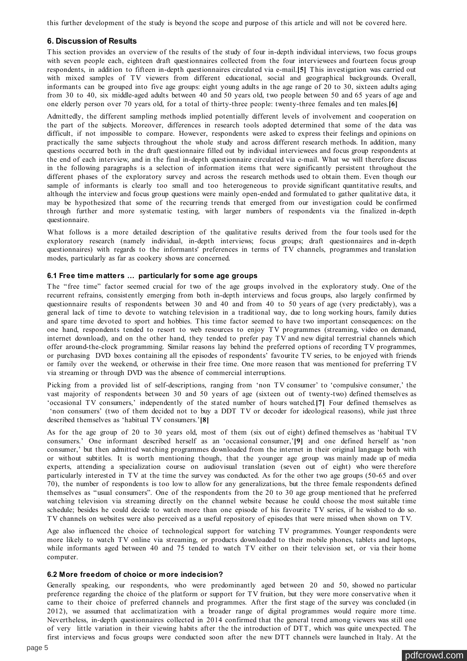<span id="page-4-0"></span>this further development of the study is beyond the scope and purpose of this article and will not be covered here.

## **6. Discussion of Results**

This section provides an overview of the results of the study of four in-depth individual interviews, two focus groups with seven people each, eighteen draft questionnaires collected from the four interviewees and fourteen focus group respondents, in addition to fifteen in-depth questionnaires circulated via e-mail.**[\[5\]](#page-8-0)** This investigation was carried out with mixed samples of TV viewers from different educational, social and geographical backgrounds. Overall, informants can be grouped into five age groups: eight young adults in the age range of 20 to 30, sixteen adults aging from 30 to 40, six middle-aged adults between 40 and 50 years old, two people between 50 and 65 years of age and one elderly person over 70 years old, for a total of thirty-three people: twenty-three females and ten males.**[\[6\]](#page-9-0)**

Admittedly, the different sampling methods implied potentially different levels of involvement and cooperation on the part of the subjects. Moreover, differences in research tools adopted determined that some of the data was difficult, if not impossible to compare. However, respondents were asked to express their feelings and opinions on practically the same subjects throughout the whole study and across different research methods. In addition, many questions occurred both in the draft questionnaire filled out by individual interviewees and focus group respondents at the end of each interview, and in the final in-depth questionnaire circulated via e-mail. What we will therefore discuss in the following paragraphs is a selection of information items that were significantly persistent throughout the different phases of the exploratory survey and across the research methods used to obtain them. Even though our sample of informants is clearly too small and too heterogeneous to provide significant quantitative results, and although the interview and focus group questions were mainly open-ended and formulated to gather qualitative data, it may be hypothesized that some of the recurring trends that emerged from our investigation could be confirmed through further and more systematic testing, with larger numbers of respondents via the finalized in-depth questionnaire.

What follows is a more detailed description of the qualitative results derived from the four tools used for the exploratory research (namely individual, in-depth interviews; focus groups; draft questionnaires and in-depth questionnaires) with regards to the informants' preferences in terms of TV channels, programmes and translation modes, particularly as far as cookery shows are concerned.

#### **6.1 Free time matters … particularly for some age groups**

The "free time" factor seemed crucial for two of the age groups involved in the exploratory study. One of the recurrent refrains, consistently emerging from both in-depth interviews and focus groups, also largely confirmed by questionnaire results of respondents between 30 and 40 and from 40 to 50 years of age (very predictably), was a general lack of time to devote to watching television in a traditional way, due to long working hours, family duties and spare time devoted to sport and hobbies. This time factor seemed to have two important consequences: on the one hand, respondents tended to resort to web resources to enjoy TV programmes (streaming, video on demand, internet download), and on the other hand, they tended to prefer pay TV and new digital terrestrial channels which offer around-the-clock programming. Similar reasons lay behind the preferred options of recording TV programmes, or purchasing DVD boxes containing all the episodes of respondents' favourite TV series, to be enjoyed with friends or family over the weekend, or otherwise in their free time. One more reason that was mentioned for preferring TV via streaming or through DVD was the absence of commercial interruptions.

Picking from a provided list of self-descriptions, ranging from 'non TV consumer' to 'compulsive consumer,' the vast majority of respondents between 30 and 50 years of age (sixteen out of twenty-two) defined themselves as 'occasional TV consumers,' independently of the stated number of hours watched.**[\[7\]](#page-9-0)** Four defined themselves as 'non consumers' (two of them decided not to buy a DDT TV or decoder for ideological reasons), while just three described themselves as 'habitual TV consumers.'**[\[8\]](#page-9-0)**

As for the age group of 20 to 30 years old, most of them (six out of eight) defined themselves as 'habitual TV consumers.' One informant described herself as an 'occasional consumer,'**[\[9\]](#page-9-0)** and one defined herself as 'non consumer,' but then admitted watching programmes downloaded from the internet in their original language both with or without subtitles. It is worth mentioning though, that the younger age group was mainly made up of media experts, attending a specialization course on audiovisual translation (seven out of eight) who were therefore particularly interested in TV at the time the survey was conducted. As for the other two age groups (50-65 and over 70), the number of respondents is too low to allow for any generalizations, but the three female respondents defined themselves as "usual consumers". One of the respondents from the 20 to 30 age group mentioned that he preferred watching television via streaming directly on the channel website because he could choose the most suitable time schedule; besides he could decide to watch more than one episode of his favourite TV series, if he wished to do so. TV channels on websites were also perceived as a useful repository of episodes that were missed when shown on TV.

Age also influenced the choice of technological support for watching TV programmes. Younger respondents were more likely to watch TV online via streaming, or products downloaded to their mobile phones, tablets and laptops, while informants aged between 40 and 75 tended to watch TV either on their television set, or via their home computer.

#### **6.2 More freedom of choice or more indecision?**

Generally speaking, our respondents, who were predominantly aged between 20 and 50, showed no particular preference regarding the choice of the platform or support for TV fruition, but they were more conservative when it came to their choice of preferred channels and programmes. After the first stage of the survey was concluded (in 2012), we assumed that acclimatization with a broader range of digital programmes would require more time. Nevertheless, in-depth questionnaires collected in 2014 confirmed that the general trend among viewers was still one of very little variation in their viewing habits after the the introduction of DTT, which was quite unexpected. The first interviews and focus groups were conducted soon after the new DTT channels were launched in Italy. At the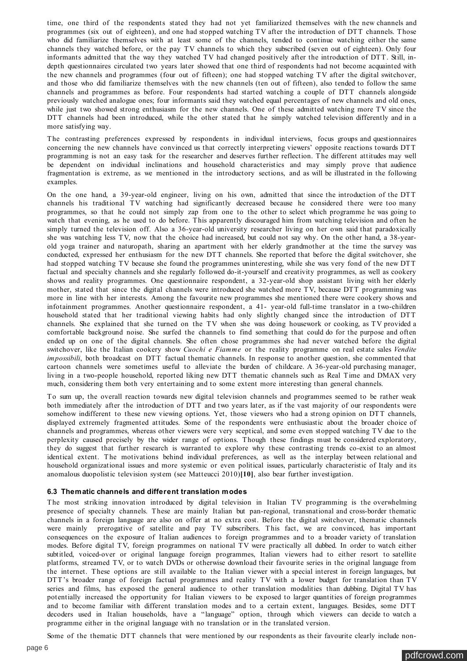<span id="page-5-0"></span>time, one third of the respondents stated they had not yet familiarized themselves with the new channels and programmes (six out of eighteen), and one had stopped watching TV after the introduction of DTT channels. Those who did familiarize themselves with at least some of the channels, tended to continue watching either the same channels they watched before, or the pay TV channels to which they subscribed (seven out of eighteen). Only four informants admitted that the way they watched TV had changed positively after the introduction of DTT. Still, indepth questionnaires circulated two years later showed that one third of respondents had not become acquainted with the new channels and programmes (four out of fifteen); one had stopped watching TV after the digital switchover, and those who did familiarize themselves with the new channels (ten out of fifteen), also tended to follow the same channels and programmes as before. Four respondents had started watching a couple of DTT channels alongside previously watched analogue ones; four informants said they watched equal percentages of new channels and old ones, while just two showed strong enthusiasm for the new channels. One of these admitted watching more TV since the DTT channels had been introduced, while the other stated that he simply watched television differently and in a more satisfying way.

The contrasting preferences expressed by respondents in individual interviews, focus groups and questionnaires concerning the new channels have convinced us that correctly interpreting viewers' opposite reactions towards DTT programming is not an easy task for the researcher and deserves further reflection. The different attitudes may well be dependent on individual inclinations and household characteristics and may simply prove that audience fragmentation is extreme, as we mentioned in the introductory sections, and as will be illustrated in the following examples.

On the one hand, a 39-year-old engineer, living on his own, admitted that since the introduction of the DTT channels his traditional TV watching had significantly decreased because he considered there were too many programmes, so that he could not simply zap from one to the other to select which programme he was going to watch that evening, as he used to do before. This apparently discouraged him from watching television and often he simply turned the television off. Also a 36-year-old university researcher living on her own said that paradoxically she was watching less TV, now that the choice had increased, but could not say why. On the other hand, a 38-yearold yoga trainer and naturopath, sharing an apartment with her elderly grandmother at the time the survey was conducted, expressed her enthusiasm for the new DTT channels. She reported that before the digital switchover, she had stopped watching TV because she found the programmes uninteresting, while she was very fond of the new DTT factual and specialty channels and she regularly followed do-it-yourself and creativity programmes, as well as cookery shows and reality programmes. One questionnaire respondent, a 32-year-old shop assistant living with her elderly mother, stated that since the digital channels were introduced she watched more TV, because DTT programming was more in line with her interests. Among the favourite new programmes she mentioned there were cookery shows and infotainment programmes. Another questionnaire respondent, a 41- year-old full-time translator in a two-children household stated that her traditional viewing habits had only slightly changed since the introduction of DTT channels. She explained that she turned on the TV when she was doing housework or cooking, as TV provided a comfortable background noise. She surfed the channels to find something that could do for the purpose and often ended up on one of the digital channels. She often chose programmes she had never watched before the digital switchover, like the Italian cookery show *Cuochi e Fiamme* or the reality programme on real estate sales *Vendite impossibili*, both broadcast on DTT factual thematic channels. In response to another question, she commented that cartoon channels were sometimes useful to alleviate the burden of childcare. A 36-year-old purchasing manager, living in a two-people household, reported liking new DTT thematic channels such as Real Time and DMAX very much, considering them both very entertaining and to some extent more interesting than general channels.

To sum up, the overall reaction towards new digital television channels and programmes seemed to be rather weak both immediately after the introduction of DTT and two years later, as if the vast majority of our respondents were somehow indifferent to these new viewing options. Yet, those viewers who had a strong opinion on DTT channels, displayed extremely fragmented attitudes. Some of the respondents were enthusiastic about the broader choice of channels and programmes, whereas other viewers were very sceptical, and some even stopped watching TV due to the perplexity caused precisely by the wider range of options. Though these findings must be considered exploratory, they do suggest that further research is warranted to explore why these contrasting trends co-exist to an almost identical extent. The motivations behind individual preferences, as well as the interplay between relational and household organizational issues and more systemic or even political issues, particularly characteristic of Italy and its anomalous duopolistic television system (see Matteucci 2010)**[\[10\]](#page-9-0)**, also bear further investigation.

#### **6.3 Thematic channels and different translation modes**

The most striking innovation introduced by digital television in Italian TV programming is the overwhelming presence of specialty channels. These are mainly Italian but pan-regional, transnational and cross-border thematic channels in a foreign language are also on offer at no extra cost. Before the digital switchover, thematic channels were mainly prerogative of satellite and pay TV subscribers. This fact, we are convinced, has important consequences on the exposure of Italian audiences to foreign programmes and to a broader variety of translation modes. Before digital TV, foreign programmes on national TV were practically all dubbed. In order to watch either subtitled, voiced-over or original language foreign programmes, Italian viewers had to either resort to satellite platforms, streamed TV, or to watch DVDs or otherwise download their favourite series in the original language from the internet. These options are still available to the Italian viewer with a special interest in foreign languages, but DTT's broader range of foreign factual programmes and reality TV with a lower budget for translation than TV series and films, has exposed the general audience to other translation modalities than dubbing. Digital TV has potentially increased the opportunity for Italian viewers to be exposed to larger quantities of foreign programmes and to become familiar with different translation modes and to a certain extent, languages. Besides, some DTT decoders used in Italian households, have a "language" option, through which viewers can decide to watch a programme either in the original language with no translation or in the translated version.

Some of the thematic DTT channels that were mentioned by our respondents as their favourite clearly include non-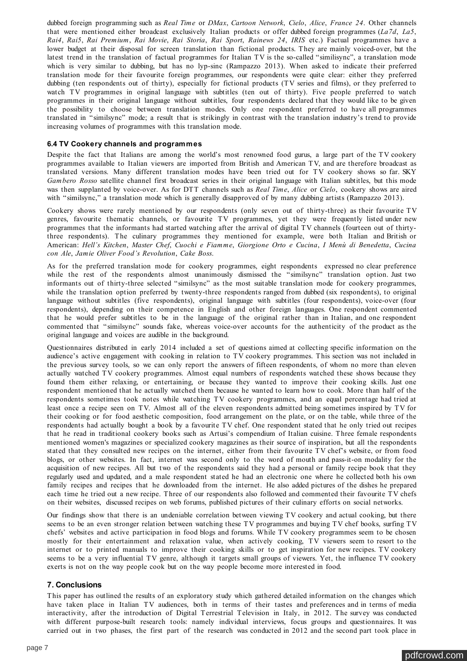dubbed foreign programming such as *Real Time* or *DMax*, *Cartoon Network*, *Cielo*, *Alice*, *France 24*. Other channels that were mentioned either broadcast exclusively Italian products or offer dubbed foreign programmes (*La7d*, *La5*, *Rai4*, *Rai5*, *Rai Premium*, *Rai Movie*, *Rai Storia*, *Rai Sport*, *Rainews 24*, *IRIS* etc.) Factual programmes have a lower budget at their disposal for screen translation than fictional products. They are mainly voiced-over, but the latest trend in the translation of factual programmes for Italian TV is the so-called "similisync", a translation mode which is very similar to dubbing, but has no lyp-sinc (Rampazzo 2013). When asked to indicate their preferred translation mode for their favourite foreign programmes, our respondents were quite clear: either they preferred dubbing (ten respondents out of thirty), especially for fictional products (TV series and films), or they preferred to watch TV programmes in original language with subtitles (ten out of thirty). Five people preferred to watch programmes in their original language without subtitles, four respondents declared that they would like to be given the possibility to choose between translation modes. Only one respondent preferred to have all programmes translated in "similsync" mode; a result that is strikingly in contrast with the translation industry's trend to provide increasing volumes of programmes with this translation mode.

#### **6.4 TV Cookery channels and programmes**

Despite the fact that Italians are among the world's most renowned food gurus, a large part of the TV cookery programmes available to Italian viewers are imported from British and American TV, and are therefore broadcast as translated versions. Many different translation modes have been tried out for TV cookery shows so far. SKY *Gambero Rosso* satellite channel first broadcast series in their original language with Italian subtitles, but this mode was then supplanted by voice-over. As for DTT channels such as *Real Time*, *Alice* or *Cielo*, cookery shows are aired with "similsync," a translation mode which is generally disapproved of by many dubbing artists (Rampazzo 2013).

Cookery shows were rarely mentioned by our respondents (only seven out of thirty-three) as their favourite TV genres, favourite thematic channels, or favourite TV programmes, yet they were frequently listed under new programmes that the informants had started watching after the arrival of digital TV channels (fourteen out of thirtythree respondents). The culinary programmes they mentioned for example, were both Italian and British or American: *Hell's Kitchen*, *Master Chef*, *Cuochi e Fiamme*, *Giorgione Orto e Cucina*, *I Menù di Benedetta*, *Cucina con Ale*, *Jamie Oliver Food's Revolution*, *Cake Boss*.

As for the preferred translation mode for cookery programmes, eight respondents expressed no clear preference while the rest of the respondents almost unanimously dismissed the "similsync" translation option. Just two informants out of thirty-three selected "similsync" as the most suitable translation mode for cookery programmes, while the translation option preferred by twenty-three respondents ranged from dubbed (six respondents), to original language without subtitles (five respondents), original language with subtitles (four respondents), voice-over (four respondents), depending on their competence in English and other foreign languages. One respondent commented that he would prefer subtitles to be in the language of the original rather than in Italian, and one respondent commented that "similsync" sounds fake, whereas voice-over accounts for the authenticity of the product as the original language and voices are audible in the background.

Questionnaires distributed in early 2014 included a set of questions aimed at collecting specific information on the audience's active engagement with cooking in relation to TV cookery programmes. This section was not included in the previous survey tools, so we can only report the answers of fifteen respondents, of whom no more than eleven actually watched TV cookery programmes. Almost equal numbers of respondents watched these shows because they found them either relaxing, or entertaining, or because they wanted to improve their cooking skills. Just one respondent mentioned that he actually watched them because he wanted to learn how to cook. More than half of the respondents sometimes took notes while watching TV cookery programmes, and an equal percentage had tried at least once a recipe seen on TV. Almost all of the eleven respondents admitted being sometimes inspired by TV for their cooking or for food aesthetic composition, food arrangement on the plate, or on the table, while three of the respondents had actually bought a book by a favourite TV chef. One respondent stated that he only tried out recipes that he read in traditional cookery books such as Artusi's compendium of Italian cuisine. Three female respondents mentioned women's magazines or specialized cookery magazines as their source of inspiration, but all the respondents stated that they consulted new recipes on the internet, either from their favourite TV chef's website, or from food blogs, or other websites. In fact, internet was second only to the word of mouth and pass-it-on modality for the acquisition of new recipes. All but two of the respondents said they had a personal or family recipe book that they regularly used and updated, and a male respondent stated he had an electronic one where he collected both his own family recipes and recipes that he downloaded from the internet. He also added pictures of the dishes he prepared each time he tried out a new recipe. Three of our respondents also followed and commented their favourite TV chefs on their websites, discussed recipes on web forums, published pictures of their culinary efforts on social networks.

Our findings show that there is an undeniable correlation between viewing TV cookery and actual cooking, but there seems to be an even stronger relation between watching these TV programmes and buying TV chef books, surfing TV chefs' websites and active participation in food blogs and forums. While TV cookery programmes seem to be chosen mostly for their entertainment and relaxation value, when actively cooking, TV viewers seem to resort to the internet or to printed manuals to improve their cooking skills or to get inspiration for new recipes. TV cookery seems to be a very influential TV genre, although it targets small groups of viewers. Yet, the influence TV cookery exerts is not on the way people cook but on the way people become more interested in food.

#### **7. Conclusions**

This paper has outlined the results of an exploratory study which gathered detailed information on the changes which have taken place in Italian TV audiences, both in terms of their tastes and preferences and in terms of media interactivity, after the introduction of Digital Terrestrial Television in Italy, in 2012. The survey was conducted with different purpose-built research tools: namely individual interviews, focus groups and questionnaires. It was carried out in two phases, the first part of the research was conducted in 2012 and the second part took place in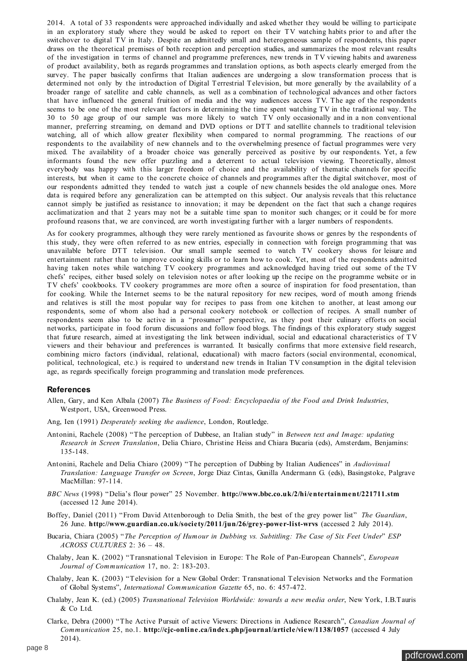2014. A total of 33 respondents were approached individually and asked whether they would be willing to participate in an exploratory study where they would be asked to report on their TV watching habits prior to and after the switchover to digital TV in Italy. Despite an admittedly small and heterogeneous sample of respondents, this paper draws on the theoretical premises of both reception and perception studies, and summarizes the most relevant results of the investigation in terms of channel and programme preferences, new trends in TV viewing habits and awareness of product availability, both as regards programmes and translation options, as both aspects clearly emerged from the survey. The paper basically confirms that Italian audiences are undergoing a slow transformation process that is determined not only by the introduction of Digital Terrestrial Television, but more generally by the availability of a broader range of satellite and cable channels, as well as a combination of technological advances and other factors that have influenced the general fruition of media and the way audiences access TV. The age of the respondents seems to be one of the most relevant factors in determining the time spent watching TV in the traditional way. The 30 to 50 age group of our sample was more likely to watch TV only occasionally and in a non conventional manner, preferring streaming, on demand and DVD options or DTT and satellite channels to traditional television watching, all of which allow greater flexibility when compared to normal programming. The reactions of our respondents to the availability of new channels and to the overwhelming presence of factual programmes were very mixed. The availability of a broader choice was generally perceived as positive by our respondents. Yet, a few informants found the new offer puzzling and a deterrent to actual television viewing. Theoretically, almost everybody was happy with this larger freedom of choice and the availability of thematic channels for specific interests, but when it came to the concrete choice of channels and programmes after the digital switchover, most of our respondents admitted they tended to watch just a couple of new channels besides the old analogue ones. More data is required before any generalization can be attempted on this subject. Our analysis reveals that this reluctance cannot simply be justified as resistance to innovation; it may be dependent on the fact that such a change requires acclimatization and that 2 years may not be a suitable time span to monitor such changes; or it could be for more profound reasons that, we are convinced, are worth investigating further with a larger numbers of respondents.

As for cookery programmes, although they were rarely mentioned as favourite shows or genres by the respondents of this study, they were often referred to as new entries, especially in connection with foreign programming that was unavailable before DTT television. Our small sample seemed to watch TV cookery shows for leisure and entertainment rather than to improve cooking skills or to learn how to cook. Yet, most of the respondents admitted having taken notes while watching TV cookery programmes and acknowledged having tried out some of the TV chefs' recipes, either based solely on television notes or after looking up the recipe on the programme website or in TV chefs' cookbooks. TV cookery programmes are more often a source of inspiration for food presentation, than for cooking. While the Internet seems to be the natural repository for new recipes, word of mouth among friends and relatives is still the most popular way for recipes to pass from one kitchen to another, at least among our respondents, some of whom also had a personal cookery notebook or collection of recipes. A small number of respondents seem also to be active in a "prosumer" perspective, as they post their culinary efforts on social networks, participate in food forum discussions and follow food blogs. The findings of this exploratory study suggest that future research, aimed at investigating the link between individual, social and educational characteristics of TV viewers and their behaviour and preferences is warranted. It basically confirms that more extensive field research, combining micro factors (individual, relational, educational) with macro factors (social environmental, economical, political, technological, etc.) is required to understand new trends in Italian TV consumption in the digital television age, as regards specifically foreign programming and translation mode preferences.

#### **References**

- Allen, Gary, and Ken Albala (2007) *The Business of Food: Encyclopaedia of the Food and Drink Industries*, Westport, USA, Greenwood Press.
- Ang, Ien (1991) *Desperately seeking the audience*, London, Routledge.
- Antonini, Rachele (2008) "The perception of Dubbese, an Italian study" in *Between text and Image: updating Research in Screen Translation*, Delia Chiaro, Christine Heiss and Chiara Bucaria (eds), Amsterdam, Benjamins: 135-148.
- Antonini, Rachele and Delia Chiaro (2009) "The perception of Dubbing by Italian Audiences" in *Audiovisual Translation: Language Transfer on Screen*, Jorge Diaz Cintas, Gunilla Andermann G. (eds), Basingstoke, Palgrave MacMillan: 97-114.
- *BBC News* (1998) "Delia's flour power" 25 November. **<http://www.bbc.co.uk/2/hi/entertainment/221711.stm>** (accessed 12 June 2014).
- Boffey, Daniel (2011) "From David Attenborough to Delia Smith, the best of the grey power list" *The Guardian*, 26 June. **<http://www.guardian.co.uk/society/2011/jun/26/grey-power-list-wrvs>** (accessed 2 July 2014).
- Bucaria, Chiara (2005) "*The Perception of Humour in Dubbing vs. Subtitling: The Case of Six Feet Under*" *ESP ACROSS CULTURES* 2: 36 – 48.
- Chalaby, Jean K. (2002) "Transnational Television in Europe: The Role of Pan-European Channels", *European Journal of Communication* 17, no. 2: 183-203.
- Chalaby, Jean K. (2003) "Television for a New Global Order: Transnational Television Networks and the Formation of Global Systems", *International Communication Gazette* 65, no. 6: 457-472.
- Chalaby, Jean K. (ed.) (2005) *Transnational Television Worldwide: towards a new media order*, New York, I.B.Tauris & Co Ltd.
- Clarke, Debra (2000) "The Active Pursuit of active Viewers: Directions in Audience Research", *Canadian Journal of Communication* 25, no.1. **<http://cjc-online.ca/index.php/journal/article/view/1138/1057>** (accessed 4 July 2014).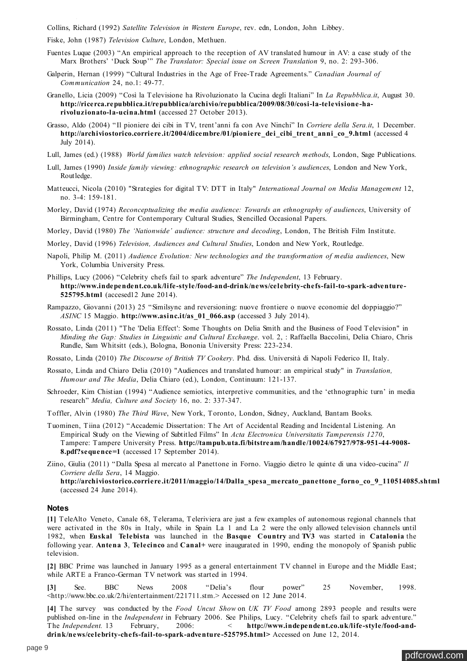<span id="page-8-0"></span>Collins, Richard (1992) *Satellite Television in Western Europe*, rev. edn, London, John Libbey.

Fiske, John (1987) *Television Culture*, London, Methuen.

- Fuentes Luque (2003) "An empirical approach to the reception of AV translated humour in AV: a case study of the Marx Brothers' 'Duck Soup'" *The Translator: Special issue on Screen Translation* 9, no. 2: 293-306.
- Galperin, Hernan (1999) "Cultural Industries in the Age of Free-Trade Agreements." *Canadian Journal of Communication* 24, no.1: 49-77.
- Granello, Licia (2009) "Così la Televisione ha Rivoluzionato la Cucina degli Italiani" In *La Repubblica.it*, August 30. **[http://ricerca.repubblica.it/repubblica/archivio/repubblica/2009/08/30/cosi-la-televisione-ha](http://ricerca.repubblica.it/repubblica/archivio/repubblica/2009/08/30/cosi-la-televisione-ha-rivoluzionato-la-ucina.html)rivoluzionato-la-ucina.html** (accessed 27 October 2013).
- Grasso, Aldo (2004) "Il pioniere dei cibi in TV, trent'anni fa con Ave Ninchi" In *Corriere della Sera.it*, 1 December. **[http://archiviostorico.corriere.it/2004/dicembre/01/pioniere\\_dei\\_cibi\\_trent\\_anni\\_co\\_9.html](http://archiviostorico.corriere.it/2004/dicembre/01/pioniere_dei_cibi_trent_anni_co_9.html)** (accessed 4 July 2014).
- Lull, James (ed.) (1988) *World families watch television: applied social research methods*, London, Sage Publications.
- Lull, James (1990) *Inside family viewing: ethnographic research on television's audiences*, London and New York, Routledge.
- Matteucci, Nicola (2010) "Strategies for digital TV: DTT in Italy" *International Journal on Media Management* 12, no. 3-4: 159-181.
- Morley, David (1974) *Reconceptualizing the media audience: Towards an ethnography of audiences*, University of Birmingham, Centre for Contemporary Cultural Studies, Stencilled Occasional Papers.

Morley, David (1980) *The 'Nationwide' audience: structure and decoding*, London, The British Film Institute.

- Morley, David (1996) *Television, Audiences and Cultural Studies*, London and New York, Routledge.
- Napoli, Philip M. (2011) *Audience Evolution: New technologies and the transformation of media audiences*, New York, Columbia University Press.
- Phillips, Lucy (2006) "Celebrity chefs fail to spark adventure" *The Independent*, 13 February. **[http://www.independent.co.uk/life-style/food-and-drink/news/celebrity-chefs-fail-to-spark-adventure-](http://www.independent.co.uk/life-style/food-and-drink/news/celebrity-chefs-fail-to-spark-adventure-525795.html)525795.html** (accesed12 June 2014).
- Rampazzo, Giovanni (2013) 25 "Similsync and reversioning: nuove frontiere o nuove economie del doppiaggio?" *ASINC* 15 Maggio. **[http://www.asinc.it/as\\_01\\_066.asp](http://www.asinc.it/as_01_066.asp)** (accessed 3 July 2014).
- Rossato, Linda (2011) "The 'Delia Effect': Some Thoughts on Delia Smith and the Business of Food Television" in *Minding the Gap: Studies in Linguistic and Cultural Exchange*. vol. 2, : Raffaella Baccolini, Delia Chiaro, Chris Rundle, Sam Whitsitt (eds.), Bologna, Bononia University Press: 223-234.

Rossato, Linda (2010) *The Discourse of British TV Cookery*. Phd. diss. Università di Napoli Federico II, Italy.

- Rossato, Linda and Chiaro Delia (2010) "Audiences and translated humour: an empirical study" in *Translation, Humour and The Media*, Delia Chiaro (ed.), London, Continuum: 121-137.
- Schroeder, Kim Chistian (1994) "Audience semiotics, interpretive communities, and the 'ethnographic turn' in media research" *Media, Culture and Society* 16, no. 2: 337-347.

Toffler, Alvin (1980) *The Third Wave*, New York, Toronto, London, Sidney, Auckland, Bantam Books.

- Tuominen, Tiina (2012) "Accademic Dissertation: The Art of Accidental Reading and Incidental Listening. An Empirical Study on the Viewing of Subtitled Films" In *Acta Electronica Universitatis Tamperensis 1270*, Tampere: Tampere University Press. **[http://tampub.uta.fi/bitstream/handle/10024/67927/978-951-44-9008-](http://tampub.uta.fi/bitstream/handle/10024/67927/978-951-44-9008-8.pdf?sequence=1) 8.pdf?sequence=1** (accessed 17 September 2014).
- Ziino, Giulia (2011) "Dalla Spesa al mercato al Panettone in Forno. Viaggio dietro le quinte di una video-cucina" *Il Corriere della Sera*, 14 Maggio. **[http://archiviostorico.corriere.it/2011/maggio/14/Dalla\\_spesa\\_mercato\\_panettone\\_forno\\_co\\_9\\_110514085.shtml](http://archiviostorico.corriere.it/2011/maggio/14/Dalla_spesa_mercato_panettone_forno_co_9_110514085.shtml)** (accessed 24 June 2014).

#### **Notes**

**[\[1\]](#page-1-0)** TeleAlto Veneto, Canale 68, Telerama, Teleriviera are just a few examples of autonomous regional channels that were activated in the 80s in Italy, while in Spain La 1 and La 2 were the only allowed television channels until 1982, when **[Euskal Telebista](http://en.wikipedia.org/wiki/Euskal_Telebista)** was launched in the **[Basque Country](http://en.wikipedia.org/wiki/Basque_Country_(autonomous_community))** and **[TV3](http://en.wikipedia.org/wiki/TV3_(Catalonia))** was started in **[Catalonia](http://en.wikipedia.org/wiki/Catalonia)** the following year. **[Antena 3](http://en.wikipedia.org/wiki/Antena_3_(Spain))**, **[Telecinco](http://en.wikipedia.org/wiki/Telecinco)** and **[Canal+](http://en.wikipedia.org/wiki/Canal%2B_Spain)** were inaugurated in 1990, ending the monopoly of Spanish public television.

**[\[2\]](#page-1-0)** BBC Prime was launched in January 1995 as a general entertainment TV channel in Europe and the Middle East; while ARTE a Franco-German TV network was started in 1994.

**[\[3\]](#page-2-0)** See. BBC News 2008 "Delia's flour power" 25 November, 1998. <http://www.bbc.co.uk/2/hi/entertainment/221711.stm.> Accessed on 12 June 2014.

**[\[4\]](#page-2-0)** The survey was conducted by the *Food Uncut Show* on *UK TV Food* among 2893 people and results were published on-line in the *Independent* in February 2006. See Philips, Lucy. "Celebrity chefs fail to spark adventure." The *Independent.* 13 February, 2006: < **http://www.independent.co.uk/life-style/food-and[drink/news/celebrity-chefs-fail-to-spark-adventure-525795.html>](http://www.independent.co.uk/life-style/food-and-drink/news/celebrity-chefs-fail-to-spark-adventure-525795.html%3E)** Accessed on June 12, 2014.